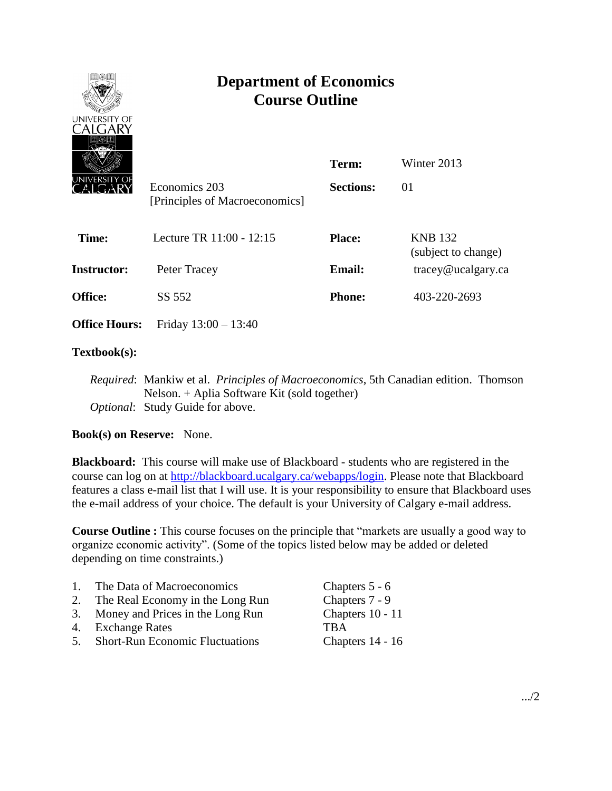

# **Department of Economics Course Outline**

| <u>UNIVERSITY_OF</u> | Economics 203<br>[Principles of Macroeconomics] | Term:<br><b>Sections:</b> | Winter 2013<br>01                     |
|----------------------|-------------------------------------------------|---------------------------|---------------------------------------|
| Time:                | Lecture TR 11:00 - 12:15                        | <b>Place:</b>             | <b>KNB 132</b><br>(subject to change) |
| Instructor:          | Peter Tracey                                    | <b>Email:</b>             | tracey@ucalgary.ca                    |
| <b>Office:</b>       | SS 552                                          | <b>Phone:</b>             | 403-220-2693                          |
| <b>Office Hours:</b> | Friday $13:00 - 13:40$                          |                           |                                       |
|                      |                                                 |                           |                                       |

## **Textbook(s):**

*Required*: Mankiw et al. *Principles of Macroeconomics*, 5th Canadian edition. Thomson Nelson. + Aplia Software Kit (sold together) *Optional*: Study Guide for above.

## **Book(s) on Reserve:** None.

**Blackboard:** This course will make use of Blackboard - students who are registered in the course can log on at [http://blackboard.ucalgary.ca/webapps/login.](http://blackboard.ucalgary.ca/webapps/login) Please note that Blackboard features a class e-mail list that I will use. It is your responsibility to ensure that Blackboard uses the e-mail address of your choice. The default is your University of Calgary e-mail address.

**Course Outline :** This course focuses on the principle that "markets are usually a good way to organize economic activity". (Some of the topics listed below may be added or deleted depending on time constraints.)

| $\mathbf{1}$ | The Data of Macroeconomics             | Chapters 5 - 6   |
|--------------|----------------------------------------|------------------|
| 2.           | The Real Economy in the Long Run       | Chapters 7 - 9   |
|              | 3. Money and Prices in the Long Run    | Chapters 10 - 11 |
|              | 4. Exchange Rates                      | <b>TRA</b>       |
| $5_{-}$      | <b>Short-Run Economic Fluctuations</b> | Chapters 14 - 16 |
|              |                                        |                  |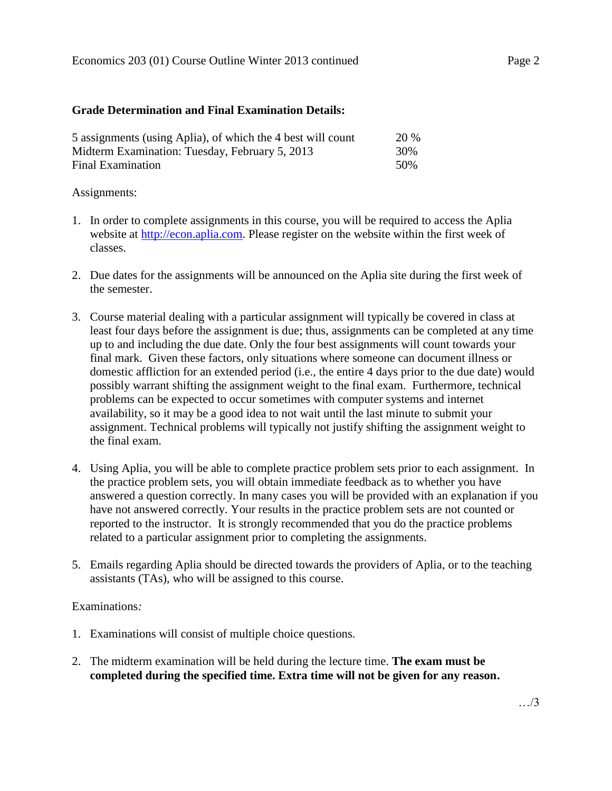#### **Grade Determination and Final Examination Details:**

| 5 assignments (using Aplia), of which the 4 best will count | <b>20 %</b> |
|-------------------------------------------------------------|-------------|
| Midterm Examination: Tuesday, February 5, 2013              | 30%         |
| Final Examination                                           | 50%         |

#### Assignments:

- 1. In order to complete assignments in this course, you will be required to access the Aplia website at [http://econ.aplia.com.](http://econ.aplia.com/) Please register on the website within the first week of classes.
- 2. Due dates for the assignments will be announced on the Aplia site during the first week of the semester.
- 3. Course material dealing with a particular assignment will typically be covered in class at least four days before the assignment is due; thus, assignments can be completed at any time up to and including the due date. Only the four best assignments will count towards your final mark. Given these factors, only situations where someone can document illness or domestic affliction for an extended period (i.e., the entire 4 days prior to the due date) would possibly warrant shifting the assignment weight to the final exam. Furthermore, technical problems can be expected to occur sometimes with computer systems and internet availability, so it may be a good idea to not wait until the last minute to submit your assignment. Technical problems will typically not justify shifting the assignment weight to the final exam.
- 4. Using Aplia, you will be able to complete practice problem sets prior to each assignment. In the practice problem sets, you will obtain immediate feedback as to whether you have answered a question correctly. In many cases you will be provided with an explanation if you have not answered correctly. Your results in the practice problem sets are not counted or reported to the instructor. It is strongly recommended that you do the practice problems related to a particular assignment prior to completing the assignments.
- 5. Emails regarding Aplia should be directed towards the providers of Aplia, or to the teaching assistants (TAs), who will be assigned to this course.

## Examinations*:*

- 1. Examinations will consist of multiple choice questions.
- 2. The midterm examination will be held during the lecture time. **The exam must be completed during the specified time. Extra time will not be given for any reason.**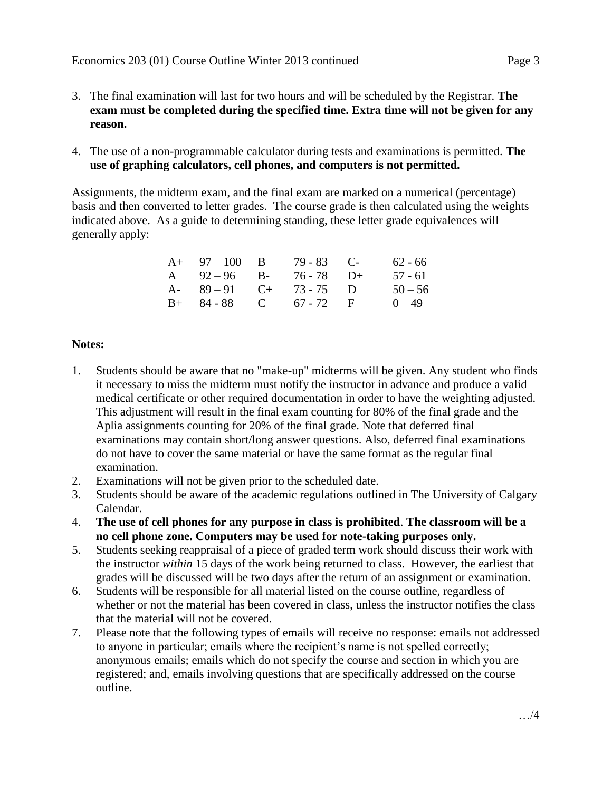- 3. The final examination will last for two hours and will be scheduled by the Registrar. **The exam must be completed during the specified time. Extra time will not be given for any reason.**
- 4. The use of a non-programmable calculator during tests and examinations is permitted. **The use of graphing calculators, cell phones, and computers is not permitted.**

Assignments, the midterm exam, and the final exam are marked on a numerical (percentage) basis and then converted to letter grades. The course grade is then calculated using the weights indicated above. As a guide to determining standing, these letter grade equivalences will generally apply:

| $A+ 97-100 B$          | $79 - 83$ C- | 62 - 66   |
|------------------------|--------------|-----------|
| A $92-96$ B-           | 76 - 78 D+   | $57 - 61$ |
| A- $89-91$ C+ 73-75 D  |              | $50 - 56$ |
| $B+ 84-88$ C 67 - 72 F |              | $0 - 49$  |

## **Notes:**

- 1. Students should be aware that no "make-up" midterms will be given. Any student who finds it necessary to miss the midterm must notify the instructor in advance and produce a valid medical certificate or other required documentation in order to have the weighting adjusted. This adjustment will result in the final exam counting for 80% of the final grade and the Aplia assignments counting for 20% of the final grade. Note that deferred final examinations may contain short/long answer questions. Also, deferred final examinations do not have to cover the same material or have the same format as the regular final examination.
- 2. Examinations will not be given prior to the scheduled date.
- 3. Students should be aware of the academic regulations outlined in The University of Calgary Calendar.
- 4. **The use of cell phones for any purpose in class is prohibited**. **The classroom will be a no cell phone zone. Computers may be used for note-taking purposes only.**
- 5. Students seeking reappraisal of a piece of graded term work should discuss their work with the instructor *within* 15 days of the work being returned to class. However, the earliest that grades will be discussed will be two days after the return of an assignment or examination.
- 6. Students will be responsible for all material listed on the course outline, regardless of whether or not the material has been covered in class, unless the instructor notifies the class that the material will not be covered.
- 7. Please note that the following types of emails will receive no response: emails not addressed to anyone in particular; emails where the recipient's name is not spelled correctly; anonymous emails; emails which do not specify the course and section in which you are registered; and, emails involving questions that are specifically addressed on the course outline.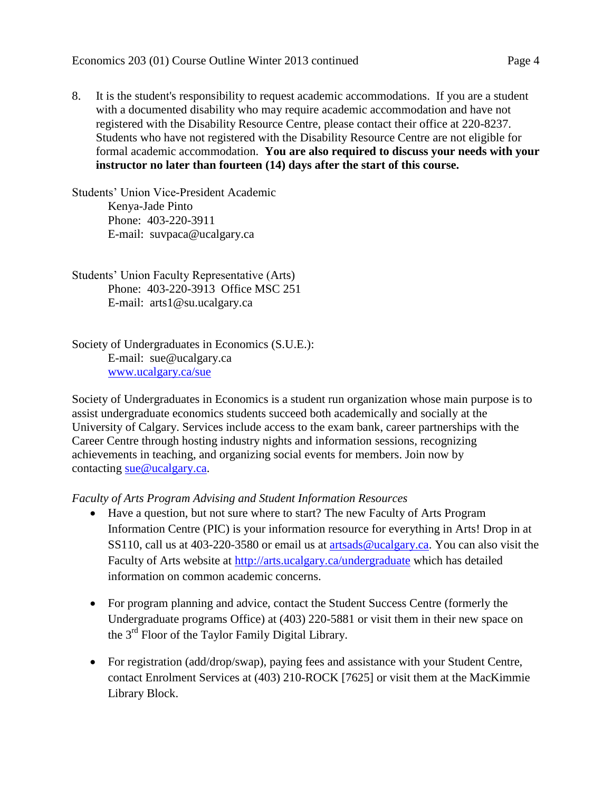8. It is the student's responsibility to request academic accommodations. If you are a student with a documented disability who may require academic accommodation and have not registered with the Disability Resource Centre, please contact their office at 220-8237. Students who have not registered with the Disability Resource Centre are not eligible for formal academic accommodation. **You are also required to discuss your needs with your instructor no later than fourteen (14) days after the start of this course.**

Students' Union Vice-President Academic Kenya-Jade Pinto Phone: 403-220-3911 E-mail: suvpaca@ucalgary.ca

Students' Union Faculty Representative (Arts) Phone: 403-220-3913 Office MSC 251 E-mail: arts1@su.ucalgary.ca

Society of Undergraduates in Economics (S.U.E.): E-mail: sue@ucalgary.ca [www.ucalgary.ca/sue](http://www.ucalgary.ca/sue)

Society of Undergraduates in Economics is a student run organization whose main purpose is to assist undergraduate economics students succeed both academically and socially at the University of Calgary. Services include access to the exam bank, career partnerships with the Career Centre through hosting industry nights and information sessions, recognizing achievements in teaching, and organizing social events for members. Join now by contacting [sue@ucalgary.ca.](mailto:sue@ucalgary.ca)

*Faculty of Arts Program Advising and Student Information Resources*

- Have a question, but not sure where to start? The new Faculty of Arts Program Information Centre (PIC) is your information resource for everything in Arts! Drop in at SS110, call us at 403-220-3580 or email us at [artsads@ucalgary.ca.](mailto:artsads@ucalgary.ca) You can also visit the Faculty of Arts website at<http://arts.ucalgary.ca/undergraduate> which has detailed information on common academic concerns.
- For program planning and advice, contact the Student Success Centre (formerly the Undergraduate programs Office) at (403) 220-5881 or visit them in their new space on the 3rd Floor of the Taylor Family Digital Library.
- For registration (add/drop/swap), paying fees and assistance with your Student Centre, contact Enrolment Services at (403) 210-ROCK [7625] or visit them at the MacKimmie Library Block.